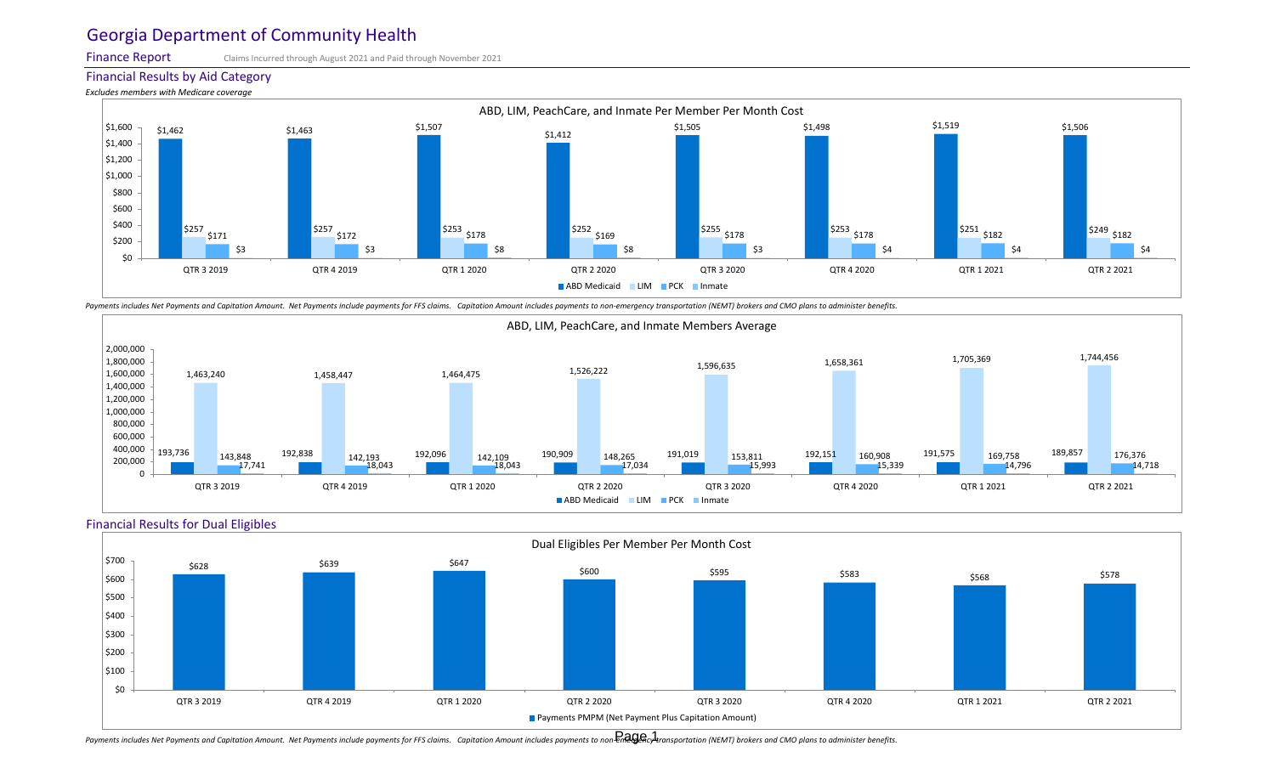Finance Report

Claims Incurred through August 2021 and Paid through November 2021

Financial Results by Aid Category





Payments includes Net Payments and Capitation Amount. Net Payments include payments for FFS claims. Capitation Amount includes payments to non-emergency transportation (NEMT) brokers and CMO plans to administer benefits.







Payments includes Net Payments and Capitation Amount. Net Payments include payments for FFS claims. Capitation Amount includes payments to non-EnaIgAcy transportation (NEMT) brokers and CMO plans to administer benefits.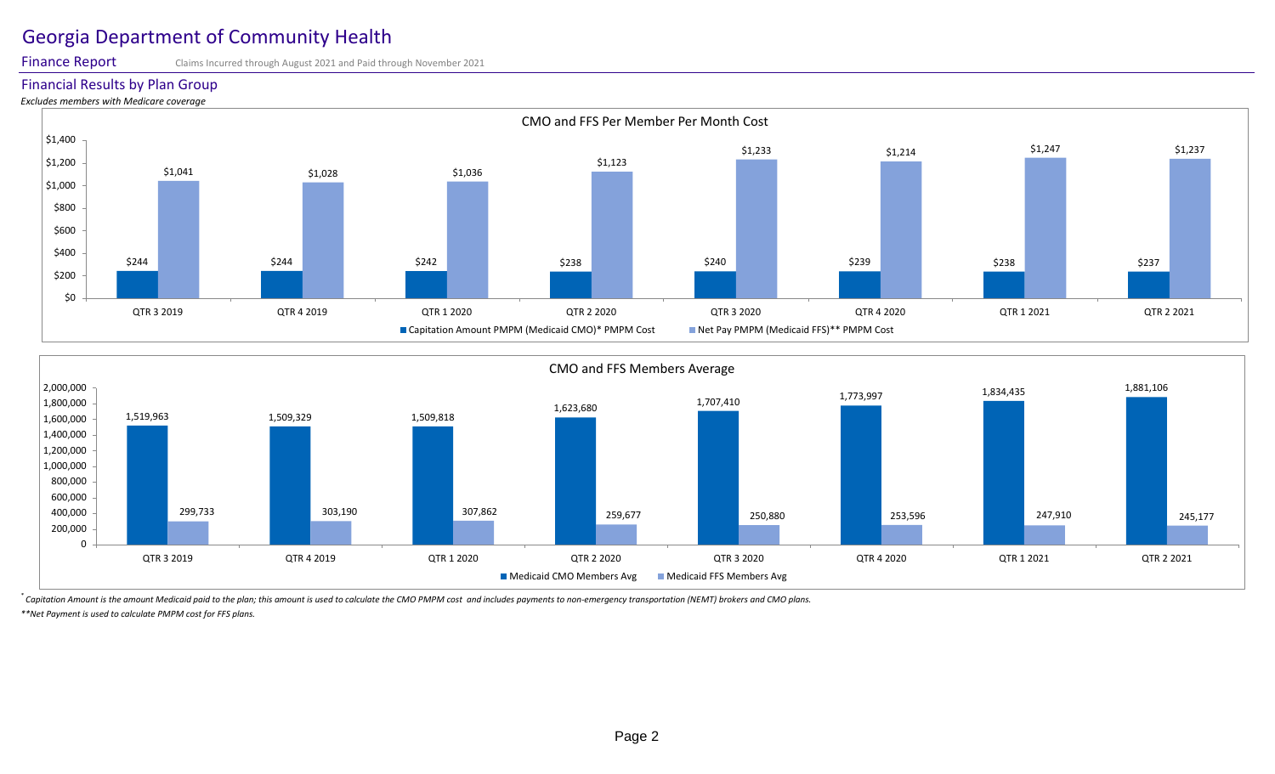Finance Report

Claims Incurred through August 2021 and Paid through November 2021

Financial Results by Plan Group

*Excludes members with Medicare coverage*





*\* Capitation Amount is the amount Medicaid paid to the plan; this amount is used to calculate the CMO PMPM cost and includes payments to non-emergency transportation (NEMT) brokers and CMO plans. \*\*Net Payment is used to calculate PMPM cost for FFS plans.*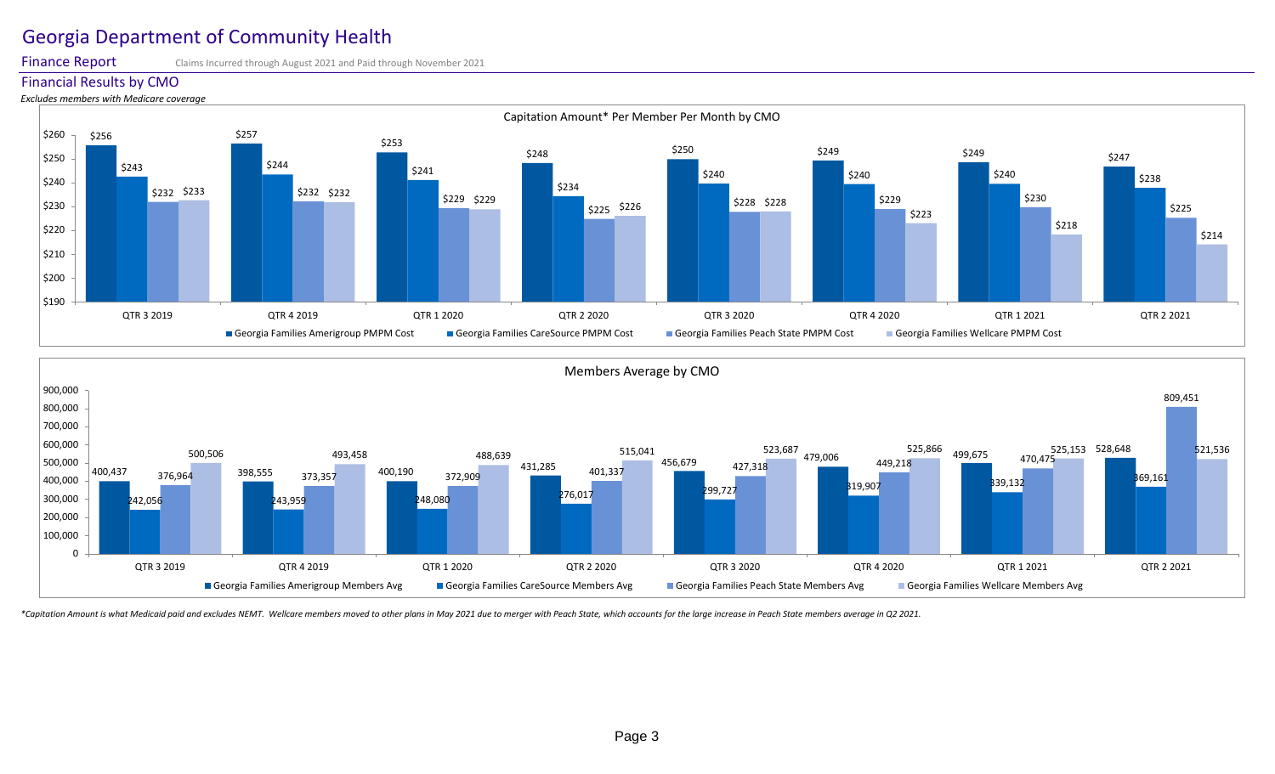Finance Report Claims Incurred through August 2021 and Paid through November 2021







\*Capitation Amount is what Medicaid paid and excludes NEMT. Wellcare members moved to other plans in May 2021 due to merger with Peach State, which accounts for the large increase in Peach State members average in Q2 2021.